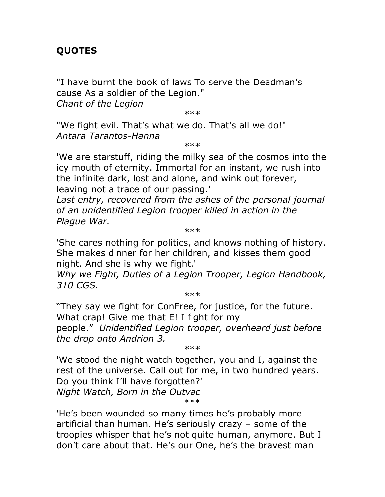## **QUOTES**

"I have burnt the book of laws To serve the Deadman's cause As a soldier of the Legion."

*Chant of the Legion*

\*\*\*

"We fight evil. That's what we do. That's all we do!" *Antara Tarantos-Hanna*

\*\*\*

'We are starstuff, riding the milky sea of the cosmos into the icy mouth of eternity. Immortal for an instant, we rush into the infinite dark, lost and alone, and wink out forever, leaving not a trace of our passing.'

Last entry, recovered from the ashes of the personal journal *of an unidentified Legion trooper killed in action in the Plague War.*

\*\*\*

'She cares nothing for politics, and knows nothing of history. She makes dinner for her children, and kisses them good night. And she is why we fight.'

*Why we Fight, Duties of a Legion Trooper, Legion Handbook, 310 CGS.*

\*\*\*

"They say we fight for ConFree, for justice, for the future. What crap! Give me that E! I fight for my people." *Unidentified Legion trooper, overheard just before the drop onto Andrion 3.*

\*\*\*

'We stood the night watch together, you and I, against the rest of the universe. Call out for me, in two hundred years. Do you think I'll have forgotten?' *Night Watch, Born in the Outvac*

\*\*\*

'He's been wounded so many times he's probably more artificial than human. He's seriously crazy – some of the troopies whisper that he's not quite human, anymore. But I don't care about that. He's our One, he's the bravest man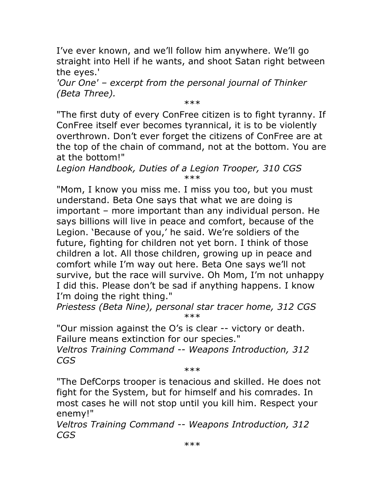I've ever known, and we'll follow him anywhere. We'll go straight into Hell if he wants, and shoot Satan right between the eyes.'

*'Our One' – excerpt from the personal journal of Thinker (Beta Three).*

\*\*\*

"The first duty of every ConFree citizen is to fight tyranny. If ConFree itself ever becomes tyrannical, it is to be violently overthrown. Don't ever forget the citizens of ConFree are at the top of the chain of command, not at the bottom. You are at the bottom!"

*Legion Handbook, Duties of a Legion Trooper, 310 CGS* \*\*\*

"Mom, I know you miss me. I miss you too, but you must understand. Beta One says that what we are doing is important – more important than any individual person. He says billions will live in peace and comfort, because of the Legion. 'Because of you,' he said. We're soldiers of the future, fighting for children not yet born. I think of those children a lot. All those children, growing up in peace and comfort while I'm way out here. Beta One says we'll not survive, but the race will survive. Oh Mom, I'm not unhappy I did this. Please don't be sad if anything happens. I know I'm doing the right thing."

*Priestess (Beta Nine), personal star tracer home, 312 CGS* \*\*\*

"Our mission against the O's is clear -- victory or death. Failure means extinction for our species."

*Veltros Training Command -- Weapons Introduction, 312 CGS*

\*\*\*

"The DefCorps trooper is tenacious and skilled. He does not fight for the System, but for himself and his comrades. In most cases he will not stop until you kill him. Respect your enemy!"

*Veltros Training Command -- Weapons Introduction, 312 CGS*